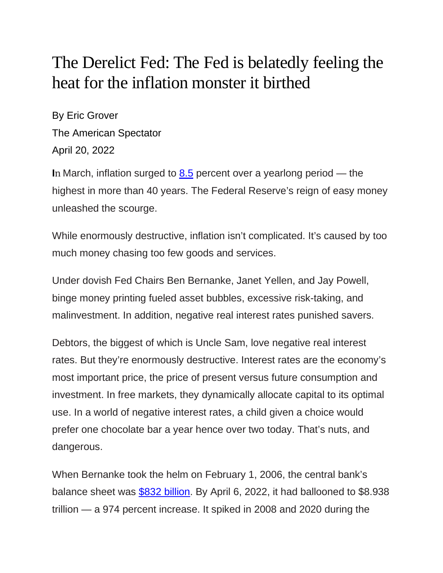## The Derelict Fed: The Fed is belatedly feeling the heat for the inflation monster it birthed

By Eric Grover The American Spectator April 20, 2022

In March, inflation surged to **[8.5](https://www.bls.gov/news.release/cpi.nr0.htm)** percent over a yearlong period — the highest in more than 40 years. The Federal Reserve's reign of easy money unleashed the scourge.

While enormously destructive, inflation isn't complicated. It's caused by too much money chasing too few goods and services.

Under dovish Fed Chairs Ben Bernanke, Janet Yellen, and Jay Powell, binge money printing fueled asset bubbles, excessive risk-taking, and malinvestment. In addition, negative real interest rates punished savers.

Debtors, the biggest of which is Uncle Sam, love negative real interest rates. But they're enormously destructive. Interest rates are the economy's most important price, the price of present versus future consumption and investment. In free markets, they dynamically allocate capital to its optimal use. In a world of negative interest rates, a child given a choice would prefer one chocolate bar a year hence over two today. That's nuts, and dangerous.

When Bernanke took the helm on February 1, 2006, the central bank's balance sheet was [\\$832 billion.](https://fred.stlouisfed.org/series/WALCL) By April 6, 2022, it had ballooned to \$8.938 trillion — a 974 percent increase. It spiked in 2008 and 2020 during the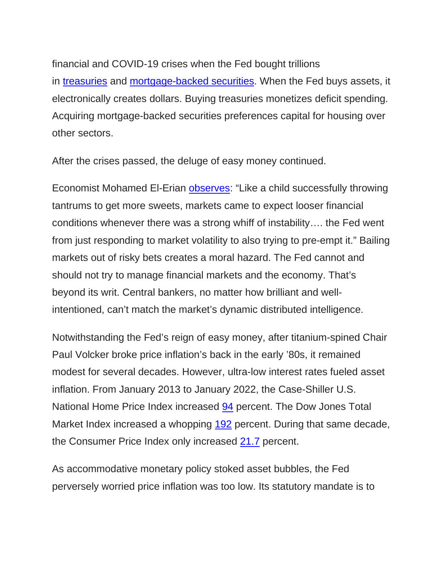financial and COVID-19 crises when the Fed bought trillions in [treasuries](https://fred.stlouisfed.org/series/WSHOTSL) and [mortgage-backed securities.](https://fred.stlouisfed.org/series/WSHOMCB) When the Fed buys assets, it electronically creates dollars. Buying treasuries monetizes deficit spending. Acquiring mortgage-backed securities preferences capital for housing over other sectors.

After the crises passed, the deluge of easy money continued.

Economist Mohamed El-Erian [observes:](https://www.ft.com/content/3d361f01-7908-45ce-9e11-96f37846bd4e) "Like a child successfully throwing tantrums to get more sweets, markets came to expect looser financial conditions whenever there was a strong whiff of instability…. the Fed went from just responding to market volatility to also trying to pre-empt it." Bailing markets out of risky bets creates a moral hazard. The Fed cannot and should not try to manage financial markets and the economy. That's beyond its writ. Central bankers, no matter how brilliant and wellintentioned, can't match the market's dynamic distributed intelligence.

Notwithstanding the Fed's reign of easy money, after titanium-spined Chair Paul Volcker broke price inflation's back in the early '80s, it remained modest for several decades. However, ultra-low interest rates fueled asset inflation. From January 2013 to January 2022, the Case-Shiller U.S. National Home Price Index increased [94](https://fred.stlouisfed.org/series/CSUSHPISA) percent. The Dow Jones Total Market Index increased a whopping [192](https://www.wsj.com/market-data/quotes/index/DWCF/historical-prices) percent. During that same decade, the Consumer Price Index only increased [21.7](https://fred.stlouisfed.org/series/CPIAUCSL) percent.

As accommodative monetary policy stoked asset bubbles, the Fed perversely worried price inflation was too low. Its statutory mandate is to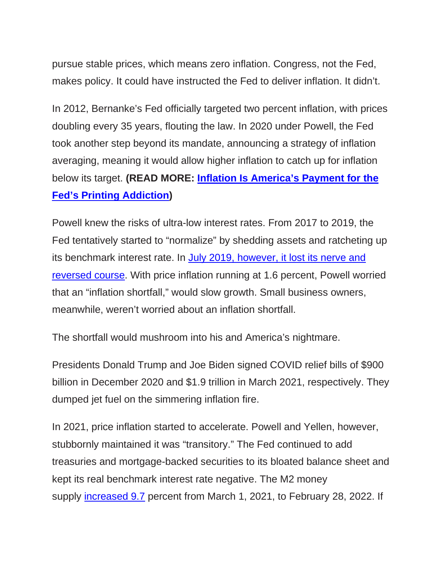pursue stable prices, which means zero inflation. Congress, not the Fed, makes policy. It could have instructed the Fed to deliver inflation. It didn't.

In 2012, Bernanke's Fed officially targeted two percent inflation, with prices doubling every 35 years, flouting the law. In 2020 under Powell, the Fed took another step beyond its mandate, announcing a strategy of inflation averaging, meaning it would allow higher inflation to catch up for inflation below its target. **(READ MORE: [Inflation Is America's Payment for the](https://spectator.org/inflation-fed-printing-addiction/)  [Fed's Printing Addiction\)](https://spectator.org/inflation-fed-printing-addiction/)**

Powell knew the risks of ultra-low interest rates. From 2017 to 2019, the Fed tentatively started to "normalize" by shedding assets and ratcheting up its benchmark interest rate. In [July 2019, however, it lost its nerve and](https://www.federalreserve.gov/mediacenter/files/FOMCpresconf20190731.pdf?msclkid=787cf5e7be9a11ecb214ddd381b09439)  [reversed course.](https://www.federalreserve.gov/mediacenter/files/FOMCpresconf20190731.pdf?msclkid=787cf5e7be9a11ecb214ddd381b09439) With price inflation running at 1.6 percent, Powell worried that an "inflation shortfall," would slow growth. Small business owners, meanwhile, weren't worried about an inflation shortfall.

The shortfall would mushroom into his and America's nightmare.

Presidents Donald Trump and Joe Biden signed COVID relief bills of \$900 billion in December 2020 and \$1.9 trillion in March 2021, respectively. They dumped jet fuel on the simmering inflation fire.

In 2021, price inflation started to accelerate. Powell and Yellen, however, stubbornly maintained it was "transitory." The Fed continued to add treasuries and mortgage-backed securities to its bloated balance sheet and kept its real benchmark interest rate negative. The M2 money supply [increased 9.7](https://fred.stlouisfed.org/series/WM2NS) percent from March 1, 2021, to February 28, 2022. If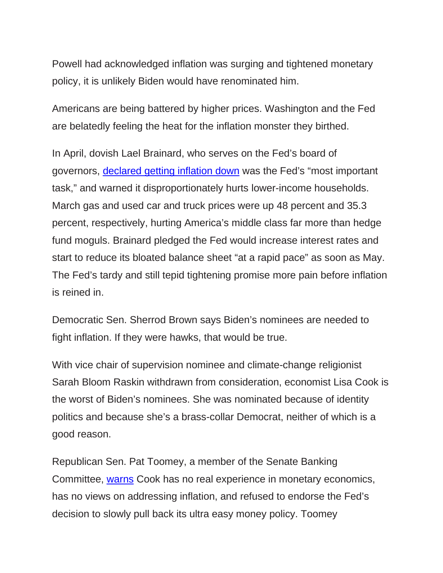Powell had acknowledged inflation was surging and tightened monetary policy, it is unlikely Biden would have renominated him.

Americans are being battered by higher prices. Washington and the Fed are belatedly feeling the heat for the inflation monster they birthed.

In April, dovish Lael Brainard, who serves on the Fed's board of governors, [declared getting inflation down](https://www.federalreserve.gov/newsevents/speech/brainard20220405a.htm) was the Fed's "most important task," and warned it disproportionately hurts lower-income households. March gas and used car and truck prices were up 48 percent and 35.3 percent, respectively, hurting America's middle class far more than hedge fund moguls. Brainard pledged the Fed would increase interest rates and start to reduce its bloated balance sheet "at a rapid pace" as soon as May. The Fed's tardy and still tepid tightening promise more pain before inflation is reined in.

Democratic Sen. Sherrod Brown says Biden's nominees are needed to fight inflation. If they were hawks, that would be true.

With vice chair of supervision nominee and climate-change religionist Sarah Bloom Raskin withdrawn from consideration, economist Lisa Cook is the worst of Biden's nominees. She was nominated because of identity politics and because she's a brass-collar Democrat, neither of which is a good reason.

Republican Sen. Pat Toomey, a member of the Senate Banking Committee, [warns](https://www.banking.senate.gov/newsroom/minority/toomey-on-senate-floor-lisa-cook-will-further-politicize-the-fed) Cook has no real experience in monetary economics, has no views on addressing inflation, and refused to endorse the Fed's decision to slowly pull back its ultra easy money policy. Toomey